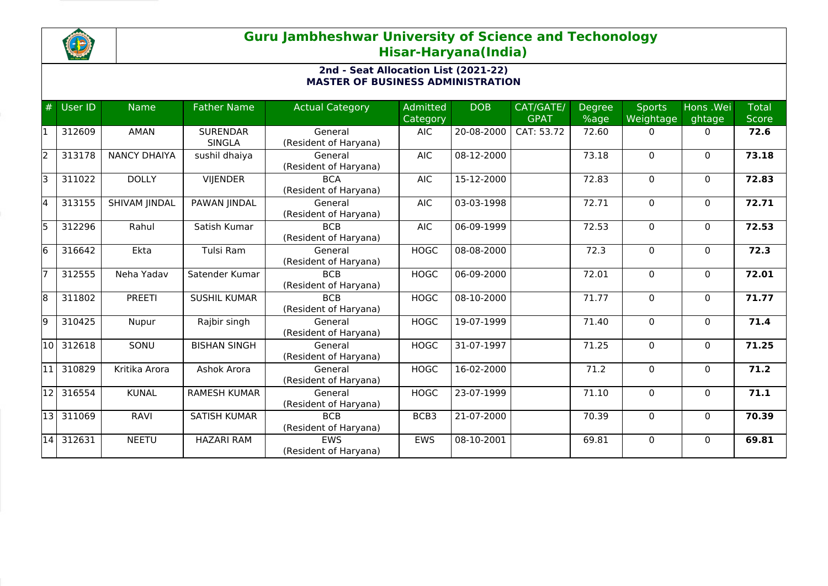

## **Guru Jambheshwar University of Science and Techonology Hisar-Haryana(India)**

## **2nd - Seat Allocation List (2021-22) MASTER OF BUSINESS ADMINISTRATION**

| #     | <b>User ID</b> | <b>Name</b>         | <b>Father Name</b>               | <b>Actual Category</b>              | <b>Admitted</b><br>Category | <b>DOB</b> | CAT/GATE/<br><b>GPAT</b> | <b>Degree</b><br>%age | <b>Sports</b><br>Weightage | Hons .Wei<br>ghtage | <b>Total</b><br>Score |
|-------|----------------|---------------------|----------------------------------|-------------------------------------|-----------------------------|------------|--------------------------|-----------------------|----------------------------|---------------------|-----------------------|
| 11    | 312609         | <b>AMAN</b>         | <b>SURENDAR</b><br><b>SINGLA</b> | General<br>(Resident of Haryana)    | <b>AIC</b>                  | 20-08-2000 | CAT: 53.72               | 72.60                 | $\Omega$                   | $\mathbf{0}$        | 72.6                  |
| l2    | 313178         | <b>NANCY DHAIYA</b> | sushil dhaiya                    | General<br>(Resident of Haryana)    | <b>AIC</b>                  | 08-12-2000 |                          | 73.18                 | 0                          | $\mathbf{0}$        | 73.18                 |
| l3    | 311022         | <b>DOLLY</b>        | <b>VIJENDER</b>                  | <b>BCA</b><br>(Resident of Haryana) | <b>AIC</b>                  | 15-12-2000 |                          | 72.83                 | 0                          | $\mathbf{0}$        | 72.83                 |
| l4    | 313155         | SHIVAM JINDAL       | PAWAN JINDAL                     | General<br>(Resident of Haryana)    | <b>AIC</b>                  | 03-03-1998 |                          | 72.71                 | 0                          | 0                   | 72.71                 |
| l5    | 312296         | Rahul               | Satish Kumar                     | <b>BCB</b><br>(Resident of Haryana) | <b>AIC</b>                  | 06-09-1999 |                          | 72.53                 | 0                          | 0                   | 72.53                 |
| l6    | 316642         | Ekta                | Tulsi Ram                        | General<br>(Resident of Haryana)    | <b>HOGC</b>                 | 08-08-2000 |                          | 72.3                  | 0                          | $\mathbf{0}$        | 72.3                  |
|       | 312555         | Neha Yadav          | Satender Kumar                   | <b>BCB</b><br>(Resident of Haryana) | <b>HOGC</b>                 | 06-09-2000 |                          | 72.01                 | $\Omega$                   | $\mathbf{0}$        | 72.01                 |
| l8    | 311802         | <b>PREETI</b>       | <b>SUSHIL KUMAR</b>              | <b>BCB</b><br>(Resident of Haryana) | <b>HOGC</b>                 | 08-10-2000 |                          | 71.77                 | $\Omega$                   | $\mathbf{0}$        | 71.77                 |
| l9    | 310425         | Nupur               | Rajbir singh                     | General<br>(Resident of Haryana)    | <b>HOGC</b>                 | 19-07-1999 |                          | 71.40                 | $\Omega$                   | $\mathbf{0}$        | 71.4                  |
| 10    | 312618         | SONU                | <b>BISHAN SINGH</b>              | General<br>(Resident of Haryana)    | <b>HOGC</b>                 | 31-07-1997 |                          | 71.25                 | 0                          | $\mathbf{0}$        | 71.25                 |
| l11   | 310829         | Kritika Arora       | Ashok Arora                      | General<br>(Resident of Haryana)    | <b>HOGC</b>                 | 16-02-2000 |                          | 71.2                  | $\Omega$                   | $\mathbf{0}$        | 71.2                  |
| 12    | 316554         | <b>KUNAL</b>        | <b>RAMESH KUMAR</b>              | General<br>(Resident of Haryana)    | <b>HOGC</b>                 | 23-07-1999 |                          | 71.10                 | 0                          | $\mathbf{0}$        | 71.1                  |
| l13 l | 311069         | <b>RAVI</b>         | <b>SATISH KUMAR</b>              | <b>BCB</b><br>(Resident of Haryana) | BCB3                        | 21-07-2000 |                          | 70.39                 | $\Omega$                   | $\mathbf{0}$        | 70.39                 |
| 14    | 312631         | <b>NEETU</b>        | <b>HAZARI RAM</b>                | <b>FWS</b><br>(Resident of Haryana) | <b>EWS</b>                  | 08-10-2001 |                          | 69.81                 | $\Omega$                   | $\Omega$            | 69.81                 |